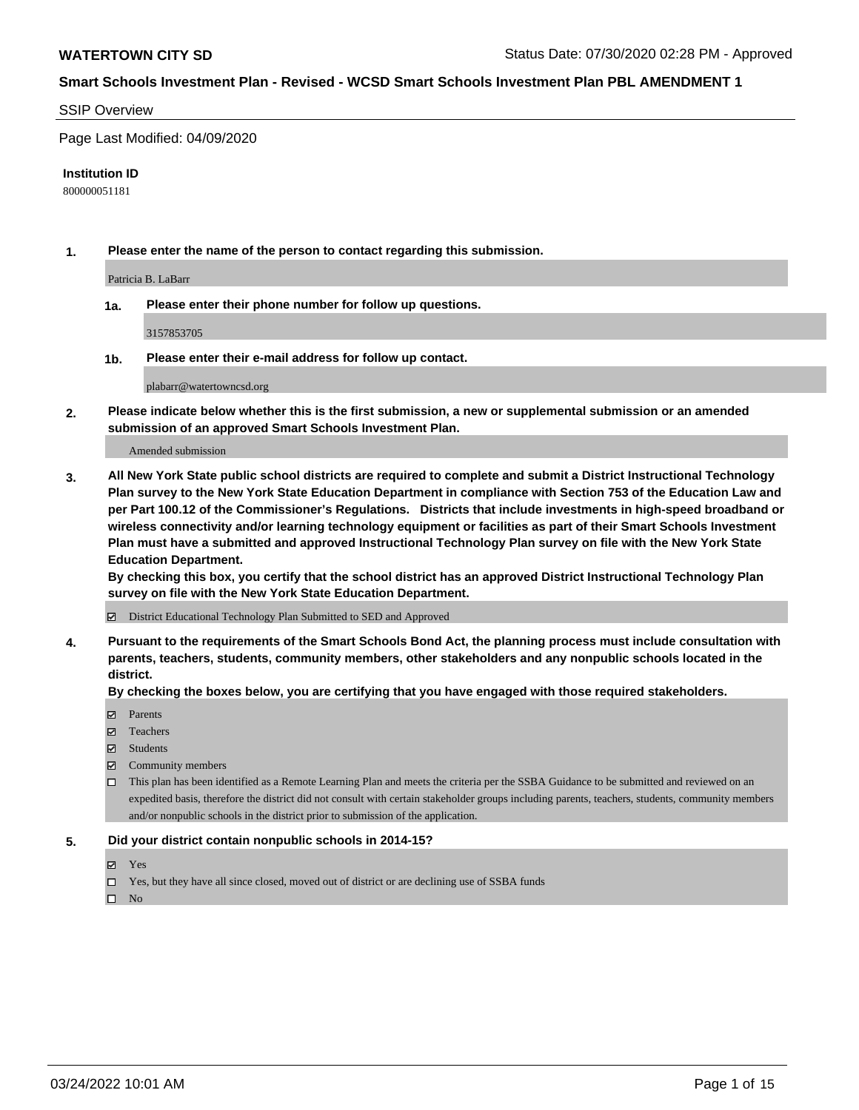#### SSIP Overview

Page Last Modified: 04/09/2020

#### **Institution ID**

800000051181

**1. Please enter the name of the person to contact regarding this submission.**

Patricia B. LaBarr

**1a. Please enter their phone number for follow up questions.**

3157853705

**1b. Please enter their e-mail address for follow up contact.**

plabarr@watertowncsd.org

**2. Please indicate below whether this is the first submission, a new or supplemental submission or an amended submission of an approved Smart Schools Investment Plan.**

Amended submission

**3. All New York State public school districts are required to complete and submit a District Instructional Technology Plan survey to the New York State Education Department in compliance with Section 753 of the Education Law and per Part 100.12 of the Commissioner's Regulations. Districts that include investments in high-speed broadband or wireless connectivity and/or learning technology equipment or facilities as part of their Smart Schools Investment Plan must have a submitted and approved Instructional Technology Plan survey on file with the New York State Education Department.** 

**By checking this box, you certify that the school district has an approved District Instructional Technology Plan survey on file with the New York State Education Department.**

District Educational Technology Plan Submitted to SED and Approved

**4. Pursuant to the requirements of the Smart Schools Bond Act, the planning process must include consultation with parents, teachers, students, community members, other stakeholders and any nonpublic schools located in the district.** 

**By checking the boxes below, you are certifying that you have engaged with those required stakeholders.**

- **□** Parents
- Teachers
- Students
- $\Xi$  Community members
- This plan has been identified as a Remote Learning Plan and meets the criteria per the SSBA Guidance to be submitted and reviewed on an expedited basis, therefore the district did not consult with certain stakeholder groups including parents, teachers, students, community members and/or nonpublic schools in the district prior to submission of the application.

## **5. Did your district contain nonpublic schools in 2014-15?**

- Yes
- $\Box$  Yes, but they have all since closed, moved out of district or are declining use of SSBA funds

 $\square$  No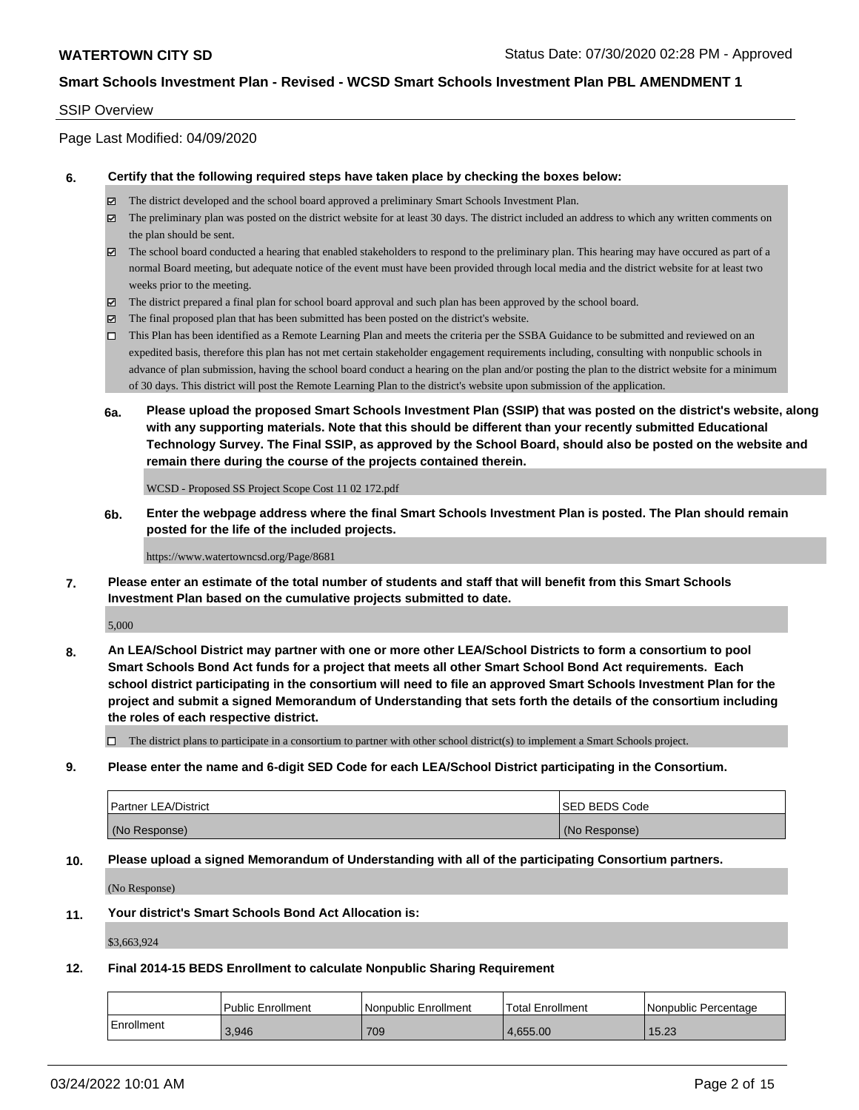## SSIP Overview

Page Last Modified: 04/09/2020

#### **6. Certify that the following required steps have taken place by checking the boxes below:**

- The district developed and the school board approved a preliminary Smart Schools Investment Plan.
- $\boxtimes$  The preliminary plan was posted on the district website for at least 30 days. The district included an address to which any written comments on the plan should be sent.
- $\boxtimes$  The school board conducted a hearing that enabled stakeholders to respond to the preliminary plan. This hearing may have occured as part of a normal Board meeting, but adequate notice of the event must have been provided through local media and the district website for at least two weeks prior to the meeting.
- The district prepared a final plan for school board approval and such plan has been approved by the school board.
- $\boxtimes$  The final proposed plan that has been submitted has been posted on the district's website.
- This Plan has been identified as a Remote Learning Plan and meets the criteria per the SSBA Guidance to be submitted and reviewed on an expedited basis, therefore this plan has not met certain stakeholder engagement requirements including, consulting with nonpublic schools in advance of plan submission, having the school board conduct a hearing on the plan and/or posting the plan to the district website for a minimum of 30 days. This district will post the Remote Learning Plan to the district's website upon submission of the application.
- **6a. Please upload the proposed Smart Schools Investment Plan (SSIP) that was posted on the district's website, along with any supporting materials. Note that this should be different than your recently submitted Educational Technology Survey. The Final SSIP, as approved by the School Board, should also be posted on the website and remain there during the course of the projects contained therein.**

WCSD - Proposed SS Project Scope Cost 11 02 172.pdf

**6b. Enter the webpage address where the final Smart Schools Investment Plan is posted. The Plan should remain posted for the life of the included projects.**

https://www.watertowncsd.org/Page/8681

**7. Please enter an estimate of the total number of students and staff that will benefit from this Smart Schools Investment Plan based on the cumulative projects submitted to date.**

5,000

**8. An LEA/School District may partner with one or more other LEA/School Districts to form a consortium to pool Smart Schools Bond Act funds for a project that meets all other Smart School Bond Act requirements. Each school district participating in the consortium will need to file an approved Smart Schools Investment Plan for the project and submit a signed Memorandum of Understanding that sets forth the details of the consortium including the roles of each respective district.**

 $\Box$  The district plans to participate in a consortium to partner with other school district(s) to implement a Smart Schools project.

**9. Please enter the name and 6-digit SED Code for each LEA/School District participating in the Consortium.**

| <b>Partner LEA/District</b> | <b>ISED BEDS Code</b> |
|-----------------------------|-----------------------|
| (No Response)               | (No Response)         |

## **10. Please upload a signed Memorandum of Understanding with all of the participating Consortium partners.**

(No Response)

#### **11. Your district's Smart Schools Bond Act Allocation is:**

\$3,663,924

#### **12. Final 2014-15 BEDS Enrollment to calculate Nonpublic Sharing Requirement**

|             | <b>Public Enrollment</b> | l Nonpublic Enrollment | Total Enrollment | l Nonpublic Percentage |
|-------------|--------------------------|------------------------|------------------|------------------------|
| ⊧Enrollment | 3,946                    | 709                    | 4.655.00         | 15.23                  |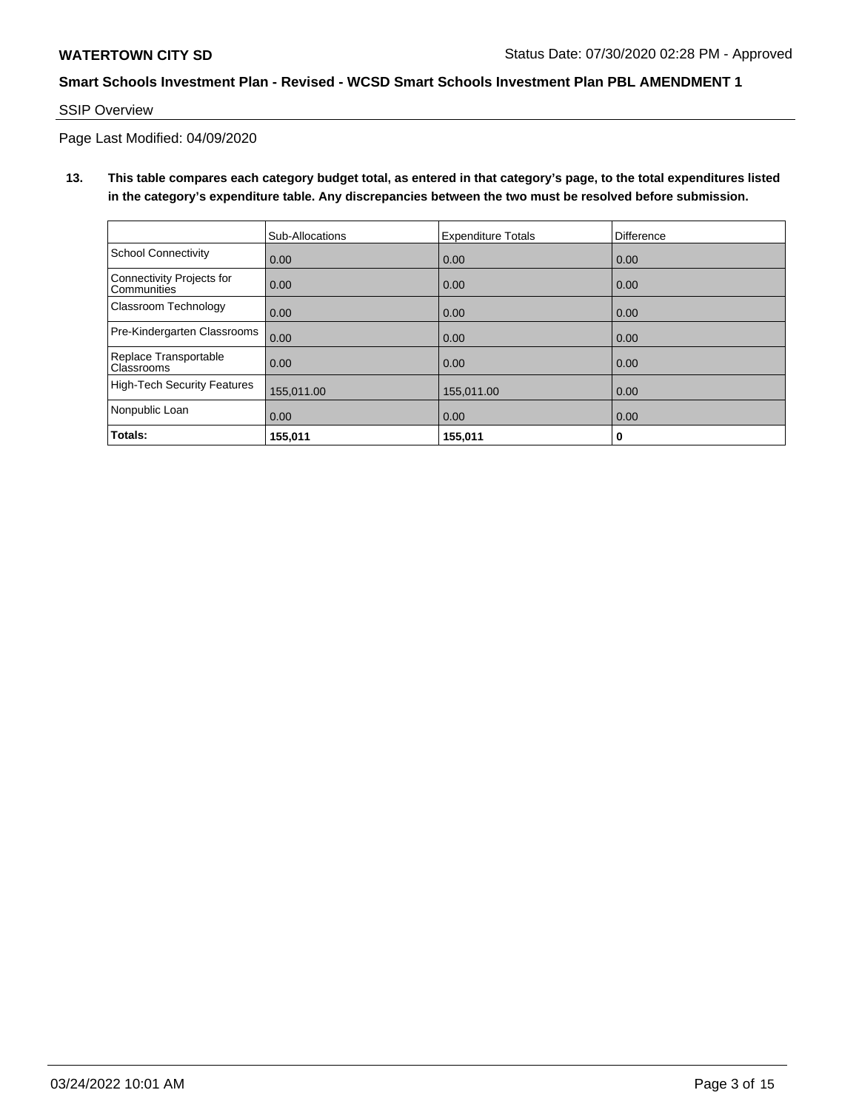SSIP Overview

Page Last Modified: 04/09/2020

**13. This table compares each category budget total, as entered in that category's page, to the total expenditures listed in the category's expenditure table. Any discrepancies between the two must be resolved before submission.**

|                                            | Sub-Allocations | <b>Expenditure Totals</b> | <b>Difference</b> |
|--------------------------------------------|-----------------|---------------------------|-------------------|
| <b>School Connectivity</b>                 | 0.00            | 0.00                      | 0.00              |
| Connectivity Projects for<br>Communities   | 0.00            | 0.00                      | 0.00              |
| Classroom Technology                       | 0.00            | 0.00                      | 0.00              |
| Pre-Kindergarten Classrooms                | 0.00            | 0.00                      | 0.00              |
| Replace Transportable<br><b>Classrooms</b> | 0.00            | 0.00                      | 0.00              |
| <b>High-Tech Security Features</b>         | 155,011.00      | 155,011.00                | 0.00              |
| Nonpublic Loan                             | 0.00            | 0.00                      | 0.00              |
| Totals:                                    | 155,011         | 155,011                   | 0                 |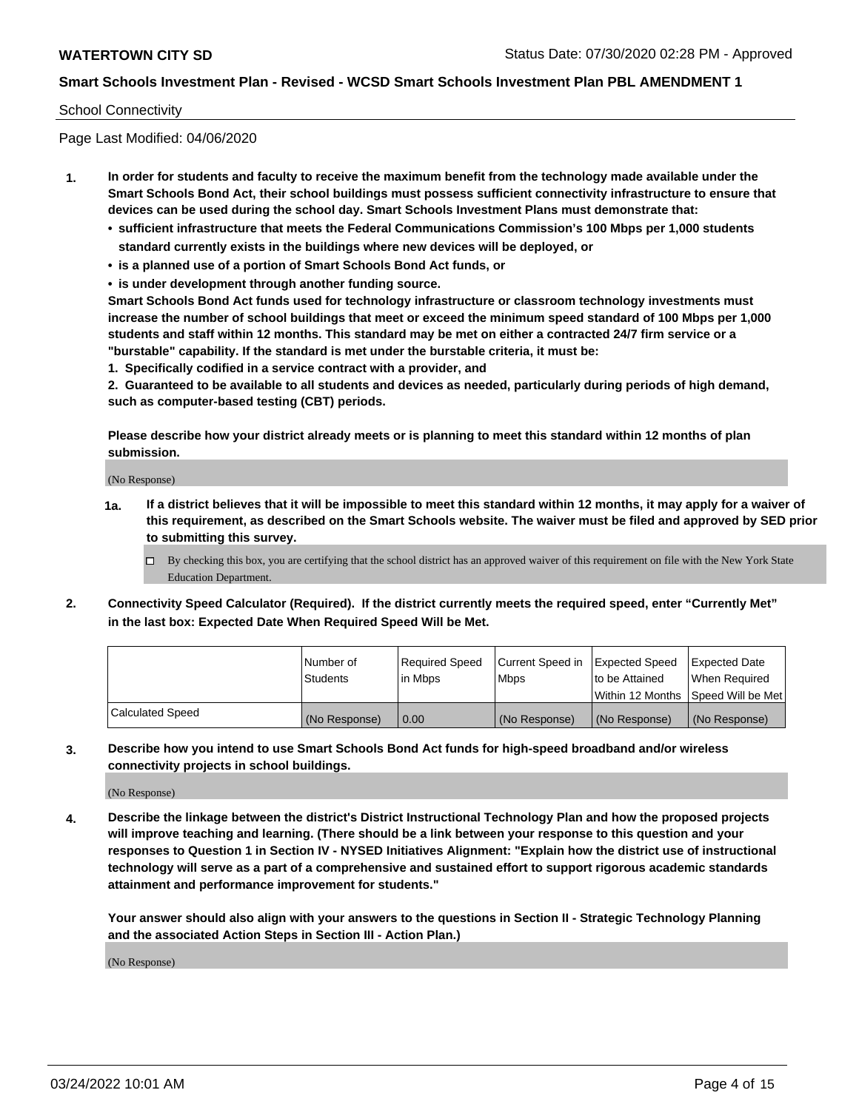#### School Connectivity

Page Last Modified: 04/06/2020

- **1. In order for students and faculty to receive the maximum benefit from the technology made available under the Smart Schools Bond Act, their school buildings must possess sufficient connectivity infrastructure to ensure that devices can be used during the school day. Smart Schools Investment Plans must demonstrate that:**
	- **• sufficient infrastructure that meets the Federal Communications Commission's 100 Mbps per 1,000 students standard currently exists in the buildings where new devices will be deployed, or**
	- **• is a planned use of a portion of Smart Schools Bond Act funds, or**
	- **• is under development through another funding source.**

**Smart Schools Bond Act funds used for technology infrastructure or classroom technology investments must increase the number of school buildings that meet or exceed the minimum speed standard of 100 Mbps per 1,000 students and staff within 12 months. This standard may be met on either a contracted 24/7 firm service or a "burstable" capability. If the standard is met under the burstable criteria, it must be:**

**1. Specifically codified in a service contract with a provider, and**

**2. Guaranteed to be available to all students and devices as needed, particularly during periods of high demand, such as computer-based testing (CBT) periods.**

**Please describe how your district already meets or is planning to meet this standard within 12 months of plan submission.**

(No Response)

- **1a. If a district believes that it will be impossible to meet this standard within 12 months, it may apply for a waiver of this requirement, as described on the Smart Schools website. The waiver must be filed and approved by SED prior to submitting this survey.**
	- By checking this box, you are certifying that the school district has an approved waiver of this requirement on file with the New York State Education Department.
- **2. Connectivity Speed Calculator (Required). If the district currently meets the required speed, enter "Currently Met" in the last box: Expected Date When Required Speed Will be Met.**

|                         | l Number of<br><b>Students</b> | Required Speed<br>l in Mbps | Current Speed in<br><b>Mbps</b> | <b>Expected Speed</b><br>to be Attained | Expected Date<br>When Reauired |
|-------------------------|--------------------------------|-----------------------------|---------------------------------|-----------------------------------------|--------------------------------|
|                         |                                |                             |                                 | Within 12 Months 1Speed Will be Met     |                                |
| <b>Calculated Speed</b> | (No Response)                  | 0.00                        | (No Response)                   | (No Response)                           | (No Response)                  |

**3. Describe how you intend to use Smart Schools Bond Act funds for high-speed broadband and/or wireless connectivity projects in school buildings.**

(No Response)

**4. Describe the linkage between the district's District Instructional Technology Plan and how the proposed projects will improve teaching and learning. (There should be a link between your response to this question and your responses to Question 1 in Section IV - NYSED Initiatives Alignment: "Explain how the district use of instructional technology will serve as a part of a comprehensive and sustained effort to support rigorous academic standards attainment and performance improvement for students."** 

**Your answer should also align with your answers to the questions in Section II - Strategic Technology Planning and the associated Action Steps in Section III - Action Plan.)**

(No Response)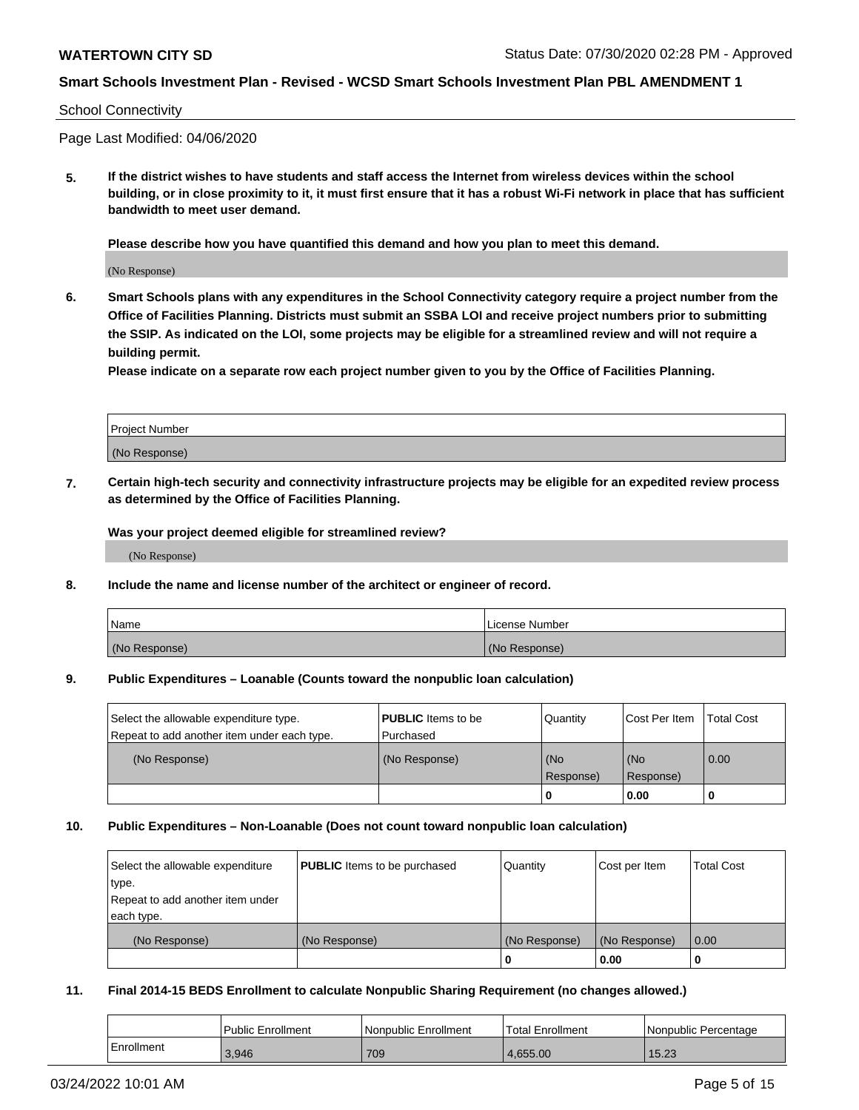#### School Connectivity

Page Last Modified: 04/06/2020

**5. If the district wishes to have students and staff access the Internet from wireless devices within the school building, or in close proximity to it, it must first ensure that it has a robust Wi-Fi network in place that has sufficient bandwidth to meet user demand.**

**Please describe how you have quantified this demand and how you plan to meet this demand.**

(No Response)

**6. Smart Schools plans with any expenditures in the School Connectivity category require a project number from the Office of Facilities Planning. Districts must submit an SSBA LOI and receive project numbers prior to submitting the SSIP. As indicated on the LOI, some projects may be eligible for a streamlined review and will not require a building permit.**

**Please indicate on a separate row each project number given to you by the Office of Facilities Planning.**

| <b>Project Number</b> |  |
|-----------------------|--|
| (No Response)         |  |

**7. Certain high-tech security and connectivity infrastructure projects may be eligible for an expedited review process as determined by the Office of Facilities Planning.**

**Was your project deemed eligible for streamlined review?**

(No Response)

#### **8. Include the name and license number of the architect or engineer of record.**

| Name          | License Number |
|---------------|----------------|
| (No Response) | (No Response)  |

#### **9. Public Expenditures – Loanable (Counts toward the nonpublic loan calculation)**

| Select the allowable expenditure type.<br>Repeat to add another item under each type. | <b>PUBLIC</b> Items to be<br>l Purchased | Quantity         | Cost Per Item    | <b>Total Cost</b> |
|---------------------------------------------------------------------------------------|------------------------------------------|------------------|------------------|-------------------|
| (No Response)                                                                         | (No Response)                            | (No<br>Response) | (No<br>Response) | 0.00              |
|                                                                                       |                                          | -0               | 0.00             |                   |

## **10. Public Expenditures – Non-Loanable (Does not count toward nonpublic loan calculation)**

| Select the allowable expenditure | <b>PUBLIC</b> Items to be purchased | Quantity      | Cost per Item | <b>Total Cost</b> |
|----------------------------------|-------------------------------------|---------------|---------------|-------------------|
| type.                            |                                     |               |               |                   |
| Repeat to add another item under |                                     |               |               |                   |
| each type.                       |                                     |               |               |                   |
| (No Response)                    | (No Response)                       | (No Response) | (No Response) | 0.00              |
|                                  |                                     | -0            | 0.00          |                   |

## **11. Final 2014-15 BEDS Enrollment to calculate Nonpublic Sharing Requirement (no changes allowed.)**

|            | Public Enrollment | Nonpublic Enrollment | Total Enrollment | l Nonpublic Percentage |
|------------|-------------------|----------------------|------------------|------------------------|
| Enrollment | 3.946             | 709                  | 4.655.00         | 15.23                  |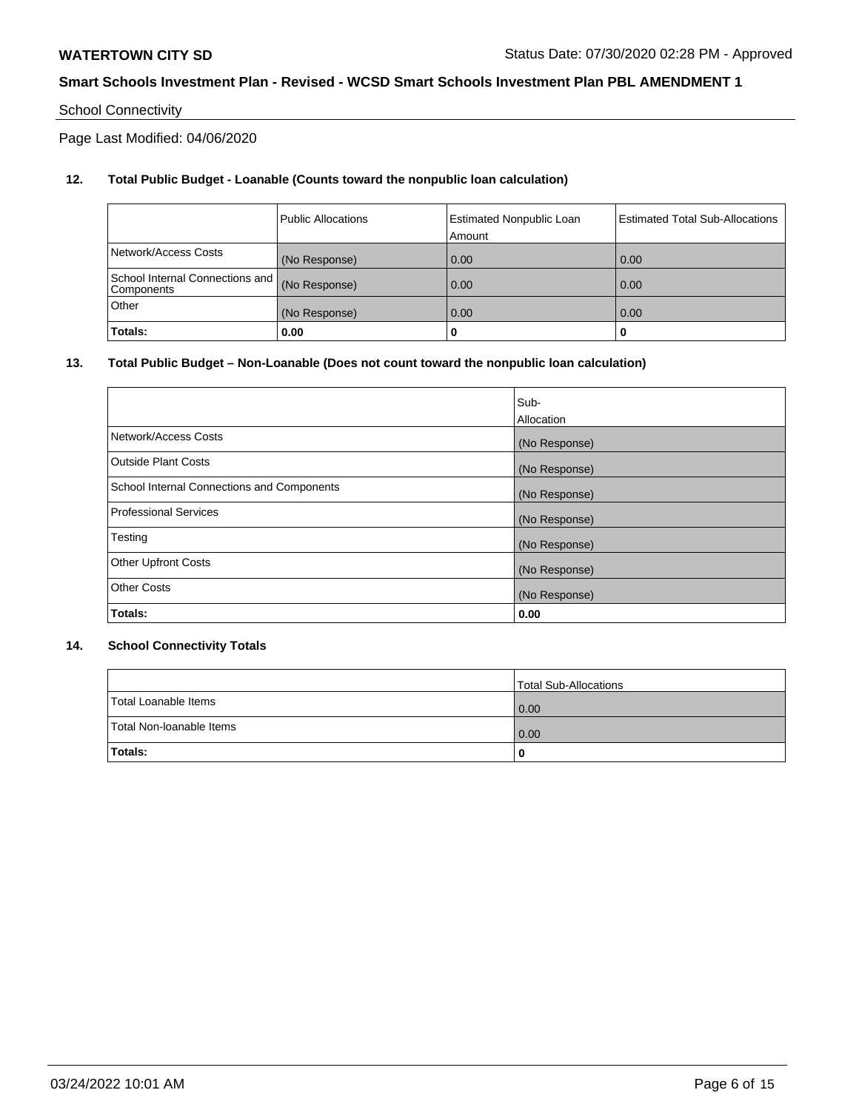# School Connectivity

Page Last Modified: 04/06/2020

# **12. Total Public Budget - Loanable (Counts toward the nonpublic loan calculation)**

|                                                  | l Public Allocations | <b>Estimated Nonpublic Loan</b><br>Amount | <b>Estimated Total Sub-Allocations</b> |
|--------------------------------------------------|----------------------|-------------------------------------------|----------------------------------------|
| Network/Access Costs                             | (No Response)        | 0.00                                      | 0.00                                   |
| School Internal Connections and   <br>Components | (No Response)        | 0.00                                      | 0.00                                   |
| Other                                            | (No Response)        | 0.00                                      | 0.00                                   |
| Totals:                                          | 0.00                 |                                           | 0                                      |

## **13. Total Public Budget – Non-Loanable (Does not count toward the nonpublic loan calculation)**

|                                            | Sub-          |
|--------------------------------------------|---------------|
|                                            | Allocation    |
| Network/Access Costs                       | (No Response) |
| <b>Outside Plant Costs</b>                 | (No Response) |
| School Internal Connections and Components | (No Response) |
| <b>Professional Services</b>               | (No Response) |
| Testing                                    | (No Response) |
| <b>Other Upfront Costs</b>                 | (No Response) |
| <b>Other Costs</b>                         | (No Response) |
| Totals:                                    | 0.00          |

## **14. School Connectivity Totals**

|                          | Total Sub-Allocations |
|--------------------------|-----------------------|
| Total Loanable Items     | 0.00                  |
| Total Non-Ioanable Items | 0.00                  |
| Totals:                  | 0                     |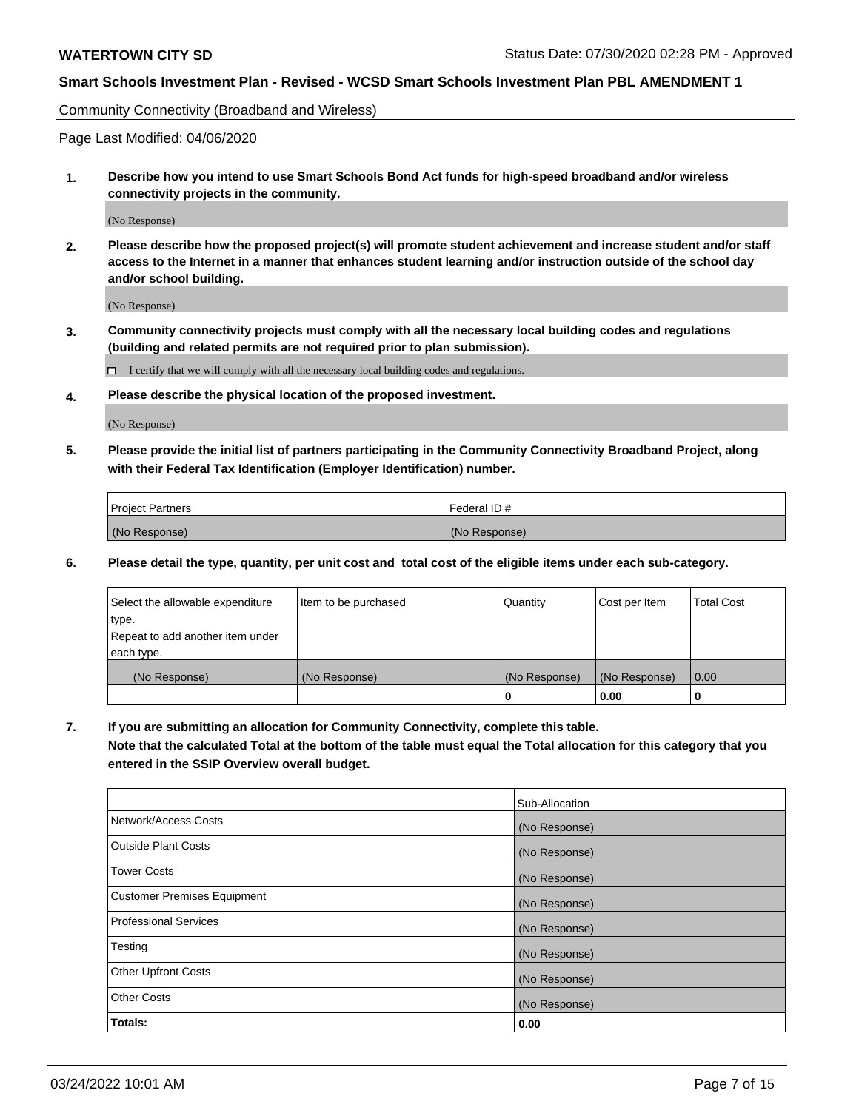Community Connectivity (Broadband and Wireless)

Page Last Modified: 04/06/2020

**1. Describe how you intend to use Smart Schools Bond Act funds for high-speed broadband and/or wireless connectivity projects in the community.**

(No Response)

**2. Please describe how the proposed project(s) will promote student achievement and increase student and/or staff access to the Internet in a manner that enhances student learning and/or instruction outside of the school day and/or school building.**

(No Response)

**3. Community connectivity projects must comply with all the necessary local building codes and regulations (building and related permits are not required prior to plan submission).**

 $\Box$  I certify that we will comply with all the necessary local building codes and regulations.

**4. Please describe the physical location of the proposed investment.**

(No Response)

**5. Please provide the initial list of partners participating in the Community Connectivity Broadband Project, along with their Federal Tax Identification (Employer Identification) number.**

| <b>Project Partners</b> | l Federal ID # |
|-------------------------|----------------|
| (No Response)           | (No Response)  |

**6. Please detail the type, quantity, per unit cost and total cost of the eligible items under each sub-category.**

| Select the allowable expenditure | Item to be purchased | Quantity      | Cost per Item | <b>Total Cost</b> |
|----------------------------------|----------------------|---------------|---------------|-------------------|
| type.                            |                      |               |               |                   |
| Repeat to add another item under |                      |               |               |                   |
| each type.                       |                      |               |               |                   |
| (No Response)                    | (No Response)        | (No Response) | (No Response) | 0.00              |
|                                  |                      | 0             | 0.00          |                   |

**7. If you are submitting an allocation for Community Connectivity, complete this table.**

**Note that the calculated Total at the bottom of the table must equal the Total allocation for this category that you entered in the SSIP Overview overall budget.**

|                                    | Sub-Allocation |
|------------------------------------|----------------|
| Network/Access Costs               | (No Response)  |
| Outside Plant Costs                | (No Response)  |
| <b>Tower Costs</b>                 | (No Response)  |
| <b>Customer Premises Equipment</b> | (No Response)  |
| Professional Services              | (No Response)  |
| Testing                            | (No Response)  |
| <b>Other Upfront Costs</b>         | (No Response)  |
| <b>Other Costs</b>                 | (No Response)  |
| Totals:                            | 0.00           |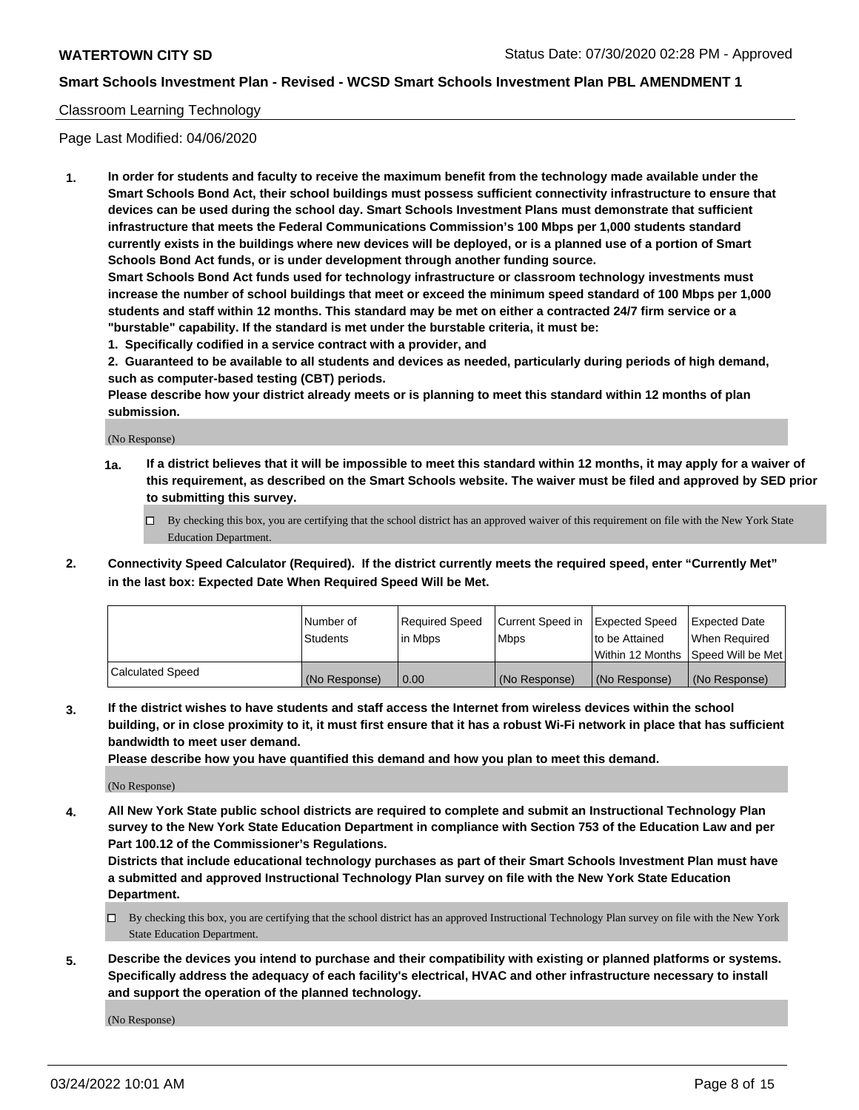## Classroom Learning Technology

Page Last Modified: 04/06/2020

**1. In order for students and faculty to receive the maximum benefit from the technology made available under the Smart Schools Bond Act, their school buildings must possess sufficient connectivity infrastructure to ensure that devices can be used during the school day. Smart Schools Investment Plans must demonstrate that sufficient infrastructure that meets the Federal Communications Commission's 100 Mbps per 1,000 students standard currently exists in the buildings where new devices will be deployed, or is a planned use of a portion of Smart Schools Bond Act funds, or is under development through another funding source.**

**Smart Schools Bond Act funds used for technology infrastructure or classroom technology investments must increase the number of school buildings that meet or exceed the minimum speed standard of 100 Mbps per 1,000 students and staff within 12 months. This standard may be met on either a contracted 24/7 firm service or a "burstable" capability. If the standard is met under the burstable criteria, it must be:**

**1. Specifically codified in a service contract with a provider, and**

**2. Guaranteed to be available to all students and devices as needed, particularly during periods of high demand, such as computer-based testing (CBT) periods.**

**Please describe how your district already meets or is planning to meet this standard within 12 months of plan submission.**

(No Response)

- **1a. If a district believes that it will be impossible to meet this standard within 12 months, it may apply for a waiver of this requirement, as described on the Smart Schools website. The waiver must be filed and approved by SED prior to submitting this survey.**
	- By checking this box, you are certifying that the school district has an approved waiver of this requirement on file with the New York State Education Department.
- **2. Connectivity Speed Calculator (Required). If the district currently meets the required speed, enter "Currently Met" in the last box: Expected Date When Required Speed Will be Met.**

|                  | Number of     | Required Speed | Current Speed in | Expected Speed | Expected Date                           |
|------------------|---------------|----------------|------------------|----------------|-----------------------------------------|
|                  | Students      | lin Mbps       | <b>Mbps</b>      | to be Attained | When Required                           |
|                  |               |                |                  |                | l Within 12 Months ISpeed Will be Met l |
| Calculated Speed | (No Response) | 0.00           | (No Response)    | (No Response)  | (No Response)                           |

**3. If the district wishes to have students and staff access the Internet from wireless devices within the school building, or in close proximity to it, it must first ensure that it has a robust Wi-Fi network in place that has sufficient bandwidth to meet user demand.**

**Please describe how you have quantified this demand and how you plan to meet this demand.**

(No Response)

**4. All New York State public school districts are required to complete and submit an Instructional Technology Plan survey to the New York State Education Department in compliance with Section 753 of the Education Law and per Part 100.12 of the Commissioner's Regulations.**

**Districts that include educational technology purchases as part of their Smart Schools Investment Plan must have a submitted and approved Instructional Technology Plan survey on file with the New York State Education Department.**

- By checking this box, you are certifying that the school district has an approved Instructional Technology Plan survey on file with the New York State Education Department.
- **5. Describe the devices you intend to purchase and their compatibility with existing or planned platforms or systems. Specifically address the adequacy of each facility's electrical, HVAC and other infrastructure necessary to install and support the operation of the planned technology.**

(No Response)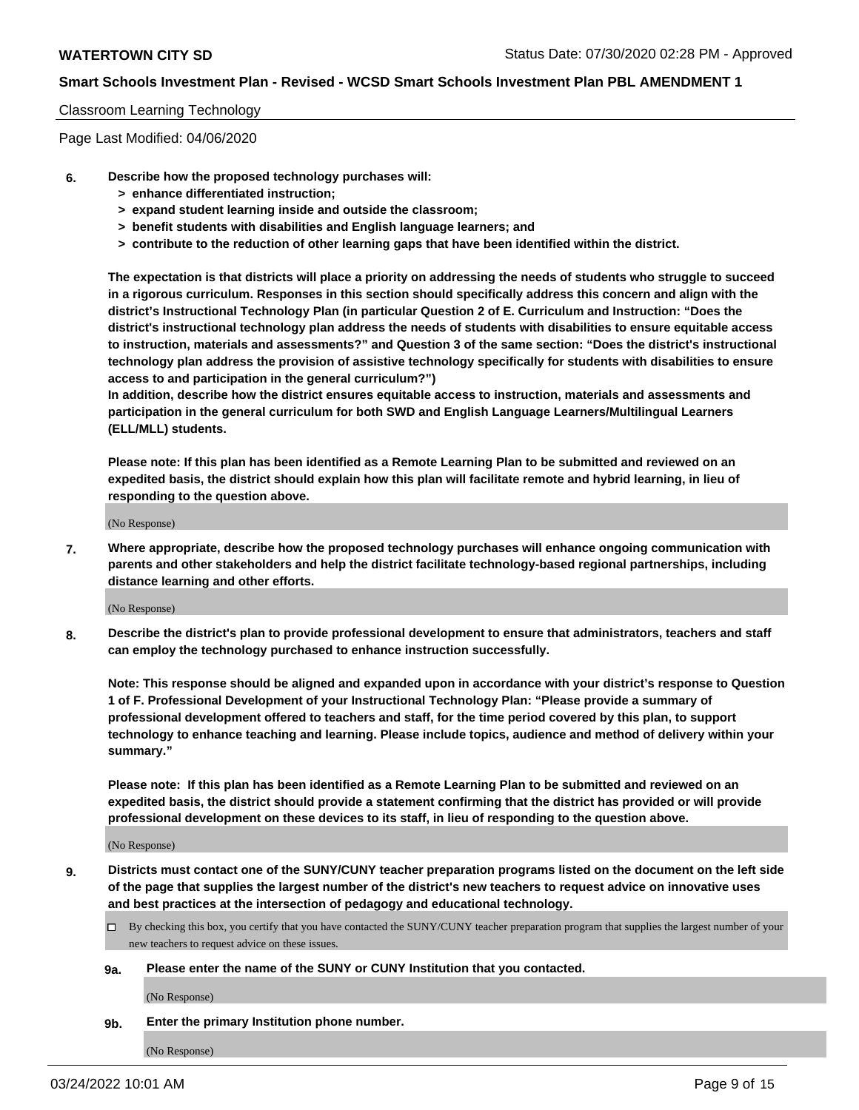## Classroom Learning Technology

Page Last Modified: 04/06/2020

- **6. Describe how the proposed technology purchases will:**
	- **> enhance differentiated instruction;**
	- **> expand student learning inside and outside the classroom;**
	- **> benefit students with disabilities and English language learners; and**
	- **> contribute to the reduction of other learning gaps that have been identified within the district.**

**The expectation is that districts will place a priority on addressing the needs of students who struggle to succeed in a rigorous curriculum. Responses in this section should specifically address this concern and align with the district's Instructional Technology Plan (in particular Question 2 of E. Curriculum and Instruction: "Does the district's instructional technology plan address the needs of students with disabilities to ensure equitable access to instruction, materials and assessments?" and Question 3 of the same section: "Does the district's instructional technology plan address the provision of assistive technology specifically for students with disabilities to ensure access to and participation in the general curriculum?")**

**In addition, describe how the district ensures equitable access to instruction, materials and assessments and participation in the general curriculum for both SWD and English Language Learners/Multilingual Learners (ELL/MLL) students.**

**Please note: If this plan has been identified as a Remote Learning Plan to be submitted and reviewed on an expedited basis, the district should explain how this plan will facilitate remote and hybrid learning, in lieu of responding to the question above.**

(No Response)

**7. Where appropriate, describe how the proposed technology purchases will enhance ongoing communication with parents and other stakeholders and help the district facilitate technology-based regional partnerships, including distance learning and other efforts.**

(No Response)

**8. Describe the district's plan to provide professional development to ensure that administrators, teachers and staff can employ the technology purchased to enhance instruction successfully.**

**Note: This response should be aligned and expanded upon in accordance with your district's response to Question 1 of F. Professional Development of your Instructional Technology Plan: "Please provide a summary of professional development offered to teachers and staff, for the time period covered by this plan, to support technology to enhance teaching and learning. Please include topics, audience and method of delivery within your summary."**

**Please note: If this plan has been identified as a Remote Learning Plan to be submitted and reviewed on an expedited basis, the district should provide a statement confirming that the district has provided or will provide professional development on these devices to its staff, in lieu of responding to the question above.**

(No Response)

**9. Districts must contact one of the SUNY/CUNY teacher preparation programs listed on the document on the left side of the page that supplies the largest number of the district's new teachers to request advice on innovative uses and best practices at the intersection of pedagogy and educational technology.**

- By checking this box, you certify that you have contacted the SUNY/CUNY teacher preparation program that supplies the largest number of your new teachers to request advice on these issues.
- **9a. Please enter the name of the SUNY or CUNY Institution that you contacted.**

(No Response)

**9b. Enter the primary Institution phone number.**

(No Response)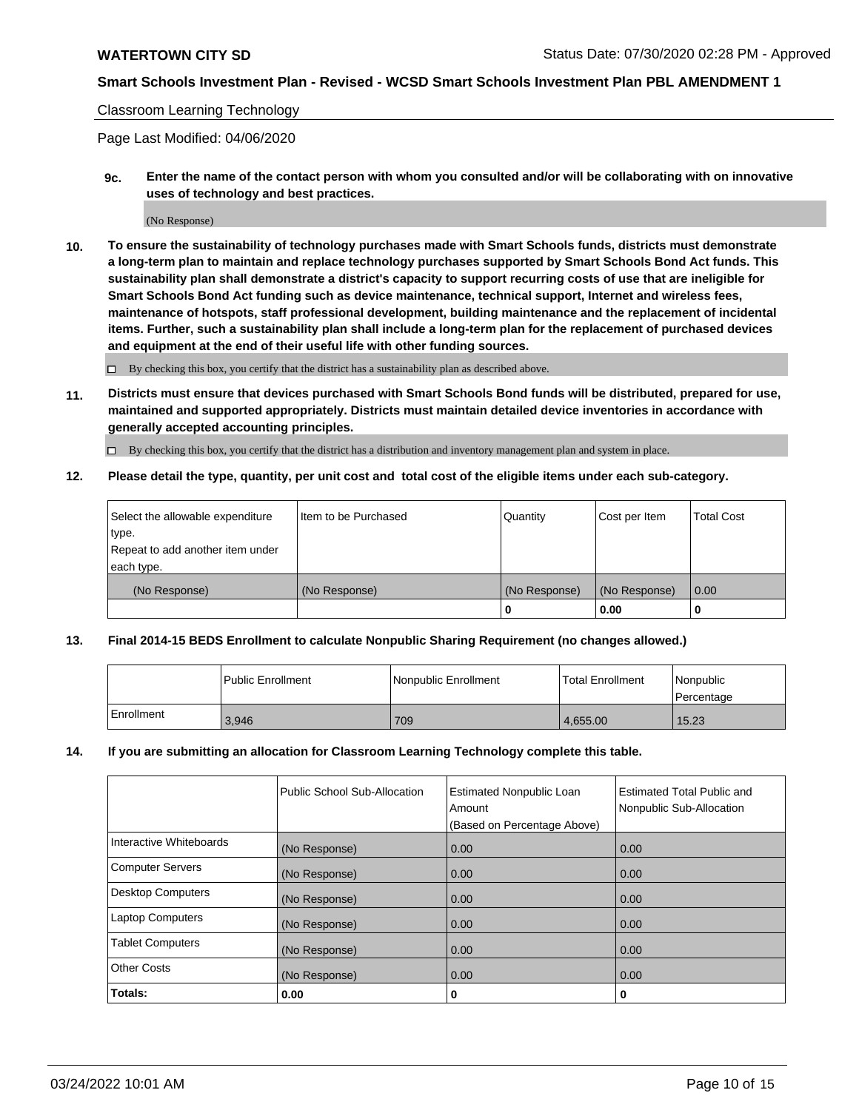## Classroom Learning Technology

Page Last Modified: 04/06/2020

**9c. Enter the name of the contact person with whom you consulted and/or will be collaborating with on innovative uses of technology and best practices.**

(No Response)

**10. To ensure the sustainability of technology purchases made with Smart Schools funds, districts must demonstrate a long-term plan to maintain and replace technology purchases supported by Smart Schools Bond Act funds. This sustainability plan shall demonstrate a district's capacity to support recurring costs of use that are ineligible for Smart Schools Bond Act funding such as device maintenance, technical support, Internet and wireless fees, maintenance of hotspots, staff professional development, building maintenance and the replacement of incidental items. Further, such a sustainability plan shall include a long-term plan for the replacement of purchased devices and equipment at the end of their useful life with other funding sources.**

 $\square$  By checking this box, you certify that the district has a sustainability plan as described above.

**11. Districts must ensure that devices purchased with Smart Schools Bond funds will be distributed, prepared for use, maintained and supported appropriately. Districts must maintain detailed device inventories in accordance with generally accepted accounting principles.**

By checking this box, you certify that the district has a distribution and inventory management plan and system in place.

**12. Please detail the type, quantity, per unit cost and total cost of the eligible items under each sub-category.**

| Select the allowable expenditure<br>type. | I Item to be Purchased | Quantity      | Cost per Item | Total Cost |
|-------------------------------------------|------------------------|---------------|---------------|------------|
| Repeat to add another item under          |                        |               |               |            |
| each type.                                |                        |               |               |            |
| (No Response)                             | (No Response)          | (No Response) | (No Response) | 0.00       |
|                                           |                        | u             | 0.00          |            |

## **13. Final 2014-15 BEDS Enrollment to calculate Nonpublic Sharing Requirement (no changes allowed.)**

|            | Public Enrollment | Nonpublic Enrollment | <b>Total Enrollment</b> | Nonpublic<br>l Percentage |
|------------|-------------------|----------------------|-------------------------|---------------------------|
| Enrollment | 3,946             | 709                  | 4.655.00                | 15.23                     |

## **14. If you are submitting an allocation for Classroom Learning Technology complete this table.**

|                          | Public School Sub-Allocation | <b>Estimated Nonpublic Loan</b><br>Amount | <b>Estimated Total Public and</b><br>Nonpublic Sub-Allocation |
|--------------------------|------------------------------|-------------------------------------------|---------------------------------------------------------------|
|                          |                              | (Based on Percentage Above)               |                                                               |
| Interactive Whiteboards  | (No Response)                | 0.00                                      | 0.00                                                          |
| <b>Computer Servers</b>  | (No Response)                | 0.00                                      | 0.00                                                          |
| <b>Desktop Computers</b> | (No Response)                | 0.00                                      | 0.00                                                          |
| <b>Laptop Computers</b>  | (No Response)                | 0.00                                      | 0.00                                                          |
| <b>Tablet Computers</b>  | (No Response)                | 0.00                                      | 0.00                                                          |
| <b>Other Costs</b>       | (No Response)                | 0.00                                      | 0.00                                                          |
| Totals:                  | 0.00                         | 0                                         | 0                                                             |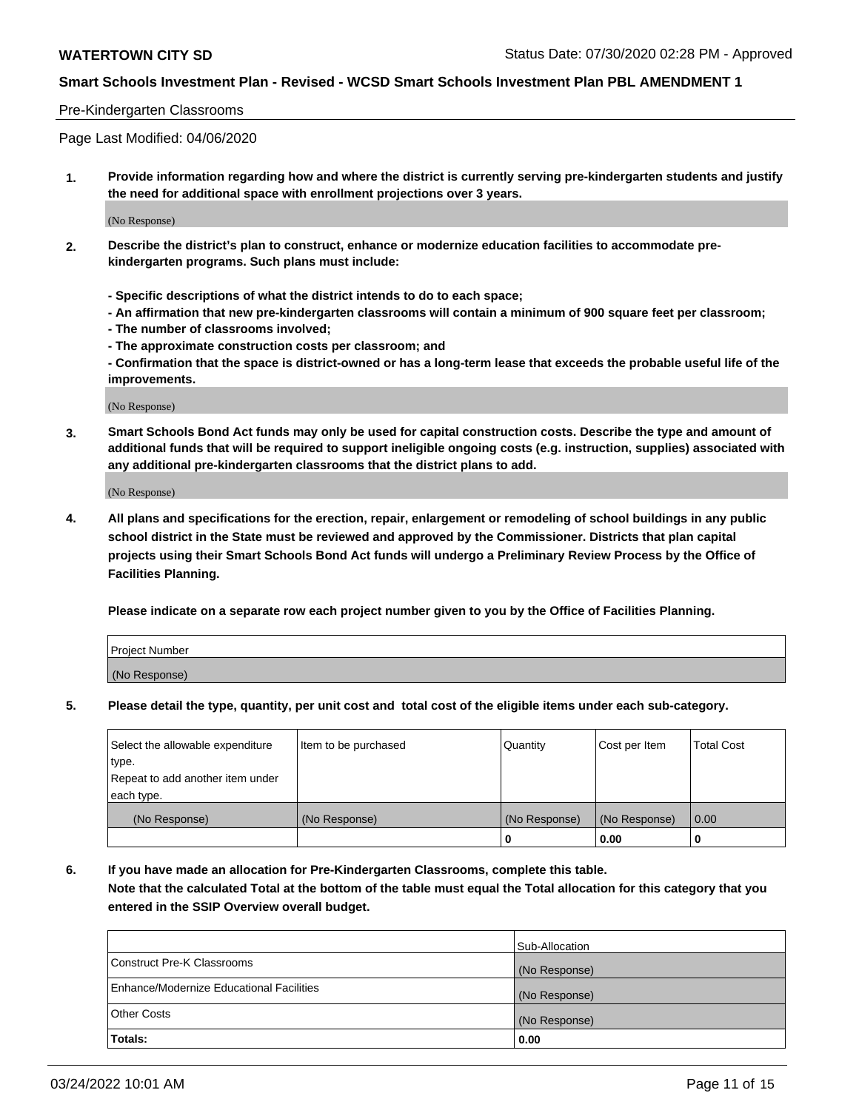## Pre-Kindergarten Classrooms

Page Last Modified: 04/06/2020

**1. Provide information regarding how and where the district is currently serving pre-kindergarten students and justify the need for additional space with enrollment projections over 3 years.**

(No Response)

- **2. Describe the district's plan to construct, enhance or modernize education facilities to accommodate prekindergarten programs. Such plans must include:**
	- **Specific descriptions of what the district intends to do to each space;**
	- **An affirmation that new pre-kindergarten classrooms will contain a minimum of 900 square feet per classroom;**
	- **The number of classrooms involved;**
	- **The approximate construction costs per classroom; and**
	- **Confirmation that the space is district-owned or has a long-term lease that exceeds the probable useful life of the improvements.**

(No Response)

**3. Smart Schools Bond Act funds may only be used for capital construction costs. Describe the type and amount of additional funds that will be required to support ineligible ongoing costs (e.g. instruction, supplies) associated with any additional pre-kindergarten classrooms that the district plans to add.**

(No Response)

**4. All plans and specifications for the erection, repair, enlargement or remodeling of school buildings in any public school district in the State must be reviewed and approved by the Commissioner. Districts that plan capital projects using their Smart Schools Bond Act funds will undergo a Preliminary Review Process by the Office of Facilities Planning.**

**Please indicate on a separate row each project number given to you by the Office of Facilities Planning.**

| Project Number |  |
|----------------|--|
| (No Response)  |  |

**5. Please detail the type, quantity, per unit cost and total cost of the eligible items under each sub-category.**

| Select the allowable expenditure | Item to be purchased | Quantity      | Cost per Item | <b>Total Cost</b> |
|----------------------------------|----------------------|---------------|---------------|-------------------|
| type.                            |                      |               |               |                   |
| Repeat to add another item under |                      |               |               |                   |
| each type.                       |                      |               |               |                   |
| (No Response)                    | (No Response)        | (No Response) | (No Response) | 0.00              |
|                                  |                      | 0             | 0.00          |                   |

**6. If you have made an allocation for Pre-Kindergarten Classrooms, complete this table.**

**Note that the calculated Total at the bottom of the table must equal the Total allocation for this category that you entered in the SSIP Overview overall budget.**

|                                          | Sub-Allocation |
|------------------------------------------|----------------|
| Construct Pre-K Classrooms               | (No Response)  |
| Enhance/Modernize Educational Facilities | (No Response)  |
| <b>Other Costs</b>                       | (No Response)  |
| Totals:                                  | 0.00           |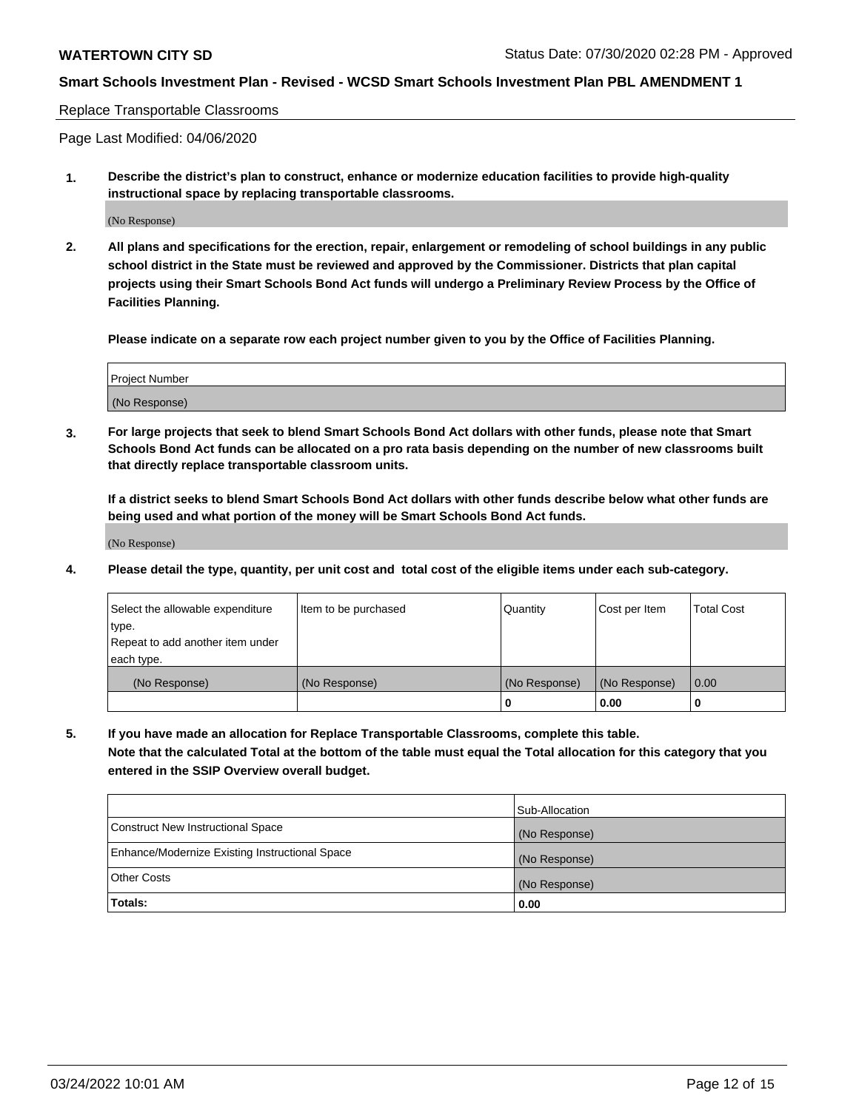#### Replace Transportable Classrooms

Page Last Modified: 04/06/2020

**1. Describe the district's plan to construct, enhance or modernize education facilities to provide high-quality instructional space by replacing transportable classrooms.**

(No Response)

**2. All plans and specifications for the erection, repair, enlargement or remodeling of school buildings in any public school district in the State must be reviewed and approved by the Commissioner. Districts that plan capital projects using their Smart Schools Bond Act funds will undergo a Preliminary Review Process by the Office of Facilities Planning.**

**Please indicate on a separate row each project number given to you by the Office of Facilities Planning.**

| <b>Project Number</b> |  |
|-----------------------|--|
| (No Response)         |  |

**3. For large projects that seek to blend Smart Schools Bond Act dollars with other funds, please note that Smart Schools Bond Act funds can be allocated on a pro rata basis depending on the number of new classrooms built that directly replace transportable classroom units.**

**If a district seeks to blend Smart Schools Bond Act dollars with other funds describe below what other funds are being used and what portion of the money will be Smart Schools Bond Act funds.**

(No Response)

**4. Please detail the type, quantity, per unit cost and total cost of the eligible items under each sub-category.**

| Select the allowable expenditure | Item to be purchased | Quantity      | Cost per Item | <b>Total Cost</b> |
|----------------------------------|----------------------|---------------|---------------|-------------------|
| type.                            |                      |               |               |                   |
| Repeat to add another item under |                      |               |               |                   |
| each type.                       |                      |               |               |                   |
| (No Response)                    | (No Response)        | (No Response) | (No Response) | 0.00              |
|                                  |                      | U             | 0.00          |                   |

**5. If you have made an allocation for Replace Transportable Classrooms, complete this table.**

**Note that the calculated Total at the bottom of the table must equal the Total allocation for this category that you entered in the SSIP Overview overall budget.**

|                                                | Sub-Allocation |
|------------------------------------------------|----------------|
| Construct New Instructional Space              | (No Response)  |
| Enhance/Modernize Existing Instructional Space | (No Response)  |
| <b>Other Costs</b>                             | (No Response)  |
| Totals:                                        | 0.00           |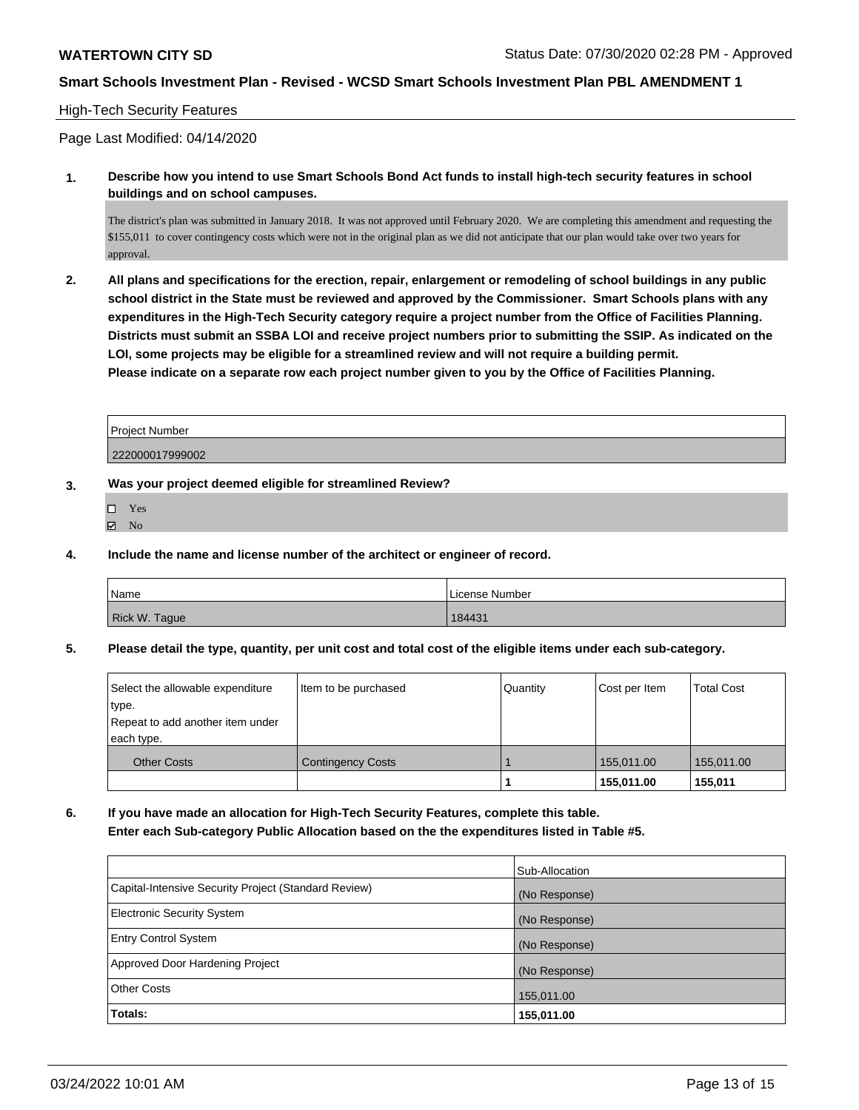## High-Tech Security Features

Page Last Modified: 04/14/2020

**1. Describe how you intend to use Smart Schools Bond Act funds to install high-tech security features in school buildings and on school campuses.**

The district's plan was submitted in January 2018. It was not approved until February 2020. We are completing this amendment and requesting the \$155,011 to cover contingency costs which were not in the original plan as we did not anticipate that our plan would take over two years for approval.

**2. All plans and specifications for the erection, repair, enlargement or remodeling of school buildings in any public school district in the State must be reviewed and approved by the Commissioner. Smart Schools plans with any expenditures in the High-Tech Security category require a project number from the Office of Facilities Planning. Districts must submit an SSBA LOI and receive project numbers prior to submitting the SSIP. As indicated on the LOI, some projects may be eligible for a streamlined review and will not require a building permit. Please indicate on a separate row each project number given to you by the Office of Facilities Planning.**

| Project Number  |  |
|-----------------|--|
| 222000017999002 |  |

## **3. Was your project deemed eligible for streamlined Review?**

- Yes
- $\boxtimes$  No
- **4. Include the name and license number of the architect or engineer of record.**

| Name          | License Number |
|---------------|----------------|
| Rick W. Tague | 184431         |

**5. Please detail the type, quantity, per unit cost and total cost of the eligible items under each sub-category.**

| Select the allowable expenditure<br>type.<br>Repeat to add another item under | Item to be purchased     | Quantity | Cost per Item | Total Cost |
|-------------------------------------------------------------------------------|--------------------------|----------|---------------|------------|
| each type.                                                                    |                          |          |               |            |
| <b>Other Costs</b>                                                            | <b>Contingency Costs</b> |          | 155.011.00    | 155,011.00 |
|                                                                               |                          |          | 155,011.00    | 155,011    |

**6. If you have made an allocation for High-Tech Security Features, complete this table. Enter each Sub-category Public Allocation based on the the expenditures listed in Table #5.**

|                                                      | Sub-Allocation |
|------------------------------------------------------|----------------|
| Capital-Intensive Security Project (Standard Review) | (No Response)  |
| Electronic Security System                           | (No Response)  |
| <b>Entry Control System</b>                          | (No Response)  |
| Approved Door Hardening Project                      | (No Response)  |
| <b>Other Costs</b>                                   | 155,011.00     |
| Totals:                                              | 155,011.00     |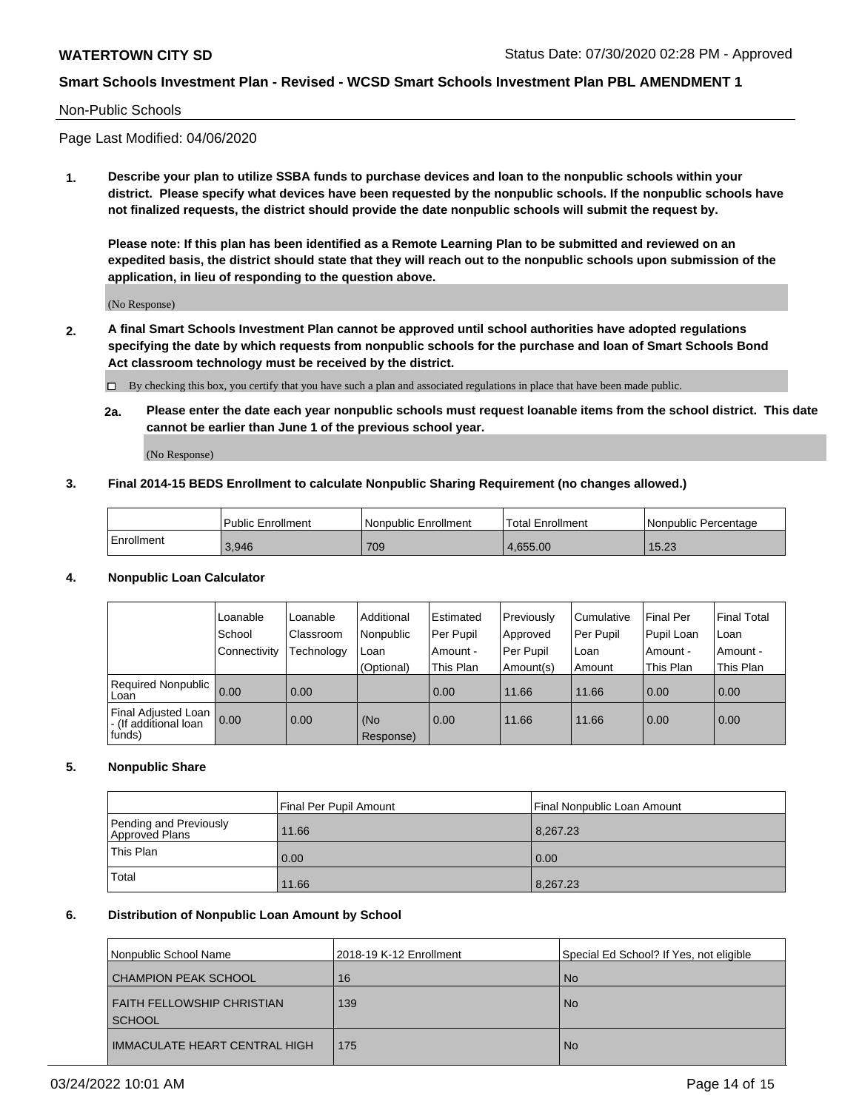## Non-Public Schools

Page Last Modified: 04/06/2020

**1. Describe your plan to utilize SSBA funds to purchase devices and loan to the nonpublic schools within your district. Please specify what devices have been requested by the nonpublic schools. If the nonpublic schools have not finalized requests, the district should provide the date nonpublic schools will submit the request by.**

**Please note: If this plan has been identified as a Remote Learning Plan to be submitted and reviewed on an expedited basis, the district should state that they will reach out to the nonpublic schools upon submission of the application, in lieu of responding to the question above.**

(No Response)

- **2. A final Smart Schools Investment Plan cannot be approved until school authorities have adopted regulations specifying the date by which requests from nonpublic schools for the purchase and loan of Smart Schools Bond Act classroom technology must be received by the district.**
	- By checking this box, you certify that you have such a plan and associated regulations in place that have been made public.
	- **2a. Please enter the date each year nonpublic schools must request loanable items from the school district. This date cannot be earlier than June 1 of the previous school year.**

(No Response)

## **3. Final 2014-15 BEDS Enrollment to calculate Nonpublic Sharing Requirement (no changes allowed.)**

|            | <b>Public Enrollment</b> | Nonpublic Enrollment | Total Enrollment | l Nonpublic Percentage |
|------------|--------------------------|----------------------|------------------|------------------------|
| Enrollment | 3,946                    | 709                  | 4.655.00         | 15.23                  |

## **4. Nonpublic Loan Calculator**

|                                                        | Loanable     | Loanable          | Additional       | Estimated   | Previously | l Cumulative | Final Per  | <b>Final Total</b> |
|--------------------------------------------------------|--------------|-------------------|------------------|-------------|------------|--------------|------------|--------------------|
|                                                        | School       | Classroom         | Nonpublic        | l Per Pupil | Approved   | Per Pupil    | Pupil Loan | Loan               |
|                                                        | Connectivity | Technology        | Loan             | Amount -    | Per Pupil  | Loan         | Amount -   | Amount -           |
|                                                        |              |                   | (Optional)       | This Plan   | Amount(s)  | Amount       | This Plan  | This Plan          |
| <b>Required Nonpublic</b><br>Loan                      | 0.00         | $\overline{0.00}$ |                  | 0.00        | 11.66      | 11.66        | 0.00       | 0.00               |
| Final Adjusted Loan<br>- (If additional loan<br>funds) | 0.00         | $\overline{0.00}$ | (No<br>Response) | 0.00        | 11.66      | 11.66        | 0.00       | 0.00               |

## **5. Nonpublic Share**

|                                          | Final Per Pupil Amount<br>Final Nonpublic Loan Amount |          |  |
|------------------------------------------|-------------------------------------------------------|----------|--|
| Pending and Previously<br>Approved Plans | 11.66                                                 | 8,267.23 |  |
| This Plan                                | 0.00                                                  | 0.00     |  |
| Total                                    | 11.66                                                 | 8,267.23 |  |

## **6. Distribution of Nonpublic Loan Amount by School**

| Nonpublic School Name                  | 2018-19 K-12 Enrollment | Special Ed School? If Yes, not eligible |
|----------------------------------------|-------------------------|-----------------------------------------|
| CHAMPION PEAK SCHOOL                   | 16                      | <b>No</b>                               |
| FAITH FELLOWSHIP CHRISTIAN<br>  SCHOOL | 139                     | <b>No</b>                               |
| IMMACULATE HEART CENTRAL HIGH          | 175                     | <b>No</b>                               |